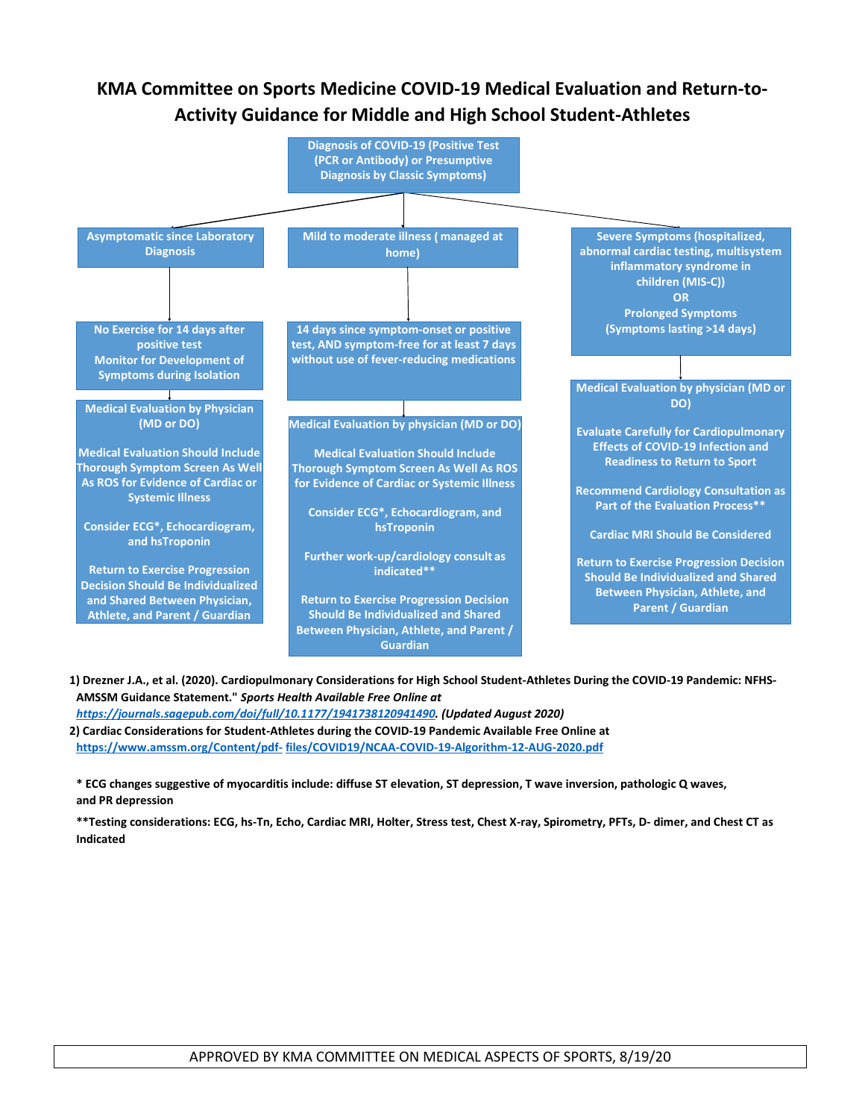# **KMA Committee on Sports Medicine COVID-19 Medical Evaluation and Return-to-Activity Guidance for Middle and High School Student-Athletes**



**1) Drezner J.A., et al. (2020). Cardiopulmonary Considerations for High School Student-Athletes During the COVID-19 Pandemic: NFHS-AMSSM Guidance Statement."** *Sports Health Available Free Online at* 

*[https://journals.sagepub.com/doi/full/10.1177/1941738120941490.](https://journals.sagepub.com/doi/full/10.1177/1941738120941490) (Updated August 2020)* **2) Cardiac Considerations for Student-Athletes during the COVID-19 Pandemic Available Free Online at [https://www.amssm.org/Content/pdf-](https://www.amssm.org/Content/pdf-files/COVID19/NCAA-COVID-19-Algorithm-12-AUG-2020.pdf) [files/COVID19/NCAA-COVID-19-Algorithm-12-AUG-2020.pdf](https://www.amssm.org/Content/pdf-files/COVID19/NCAA-COVID-19-Algorithm-12-AUG-2020.pdf)**

**\* ECG changes suggestive of myocarditis include: diffuse ST elevation, ST depression, T wave inversion, pathologic Q waves, and PR depression**

**\*\*Testing considerations: ECG, hs-Tn, Echo, Cardiac MRI, Holter, Stress test, Chest X-ray, Spirometry, PFTs, D- dimer, and Chest CT as Indicated**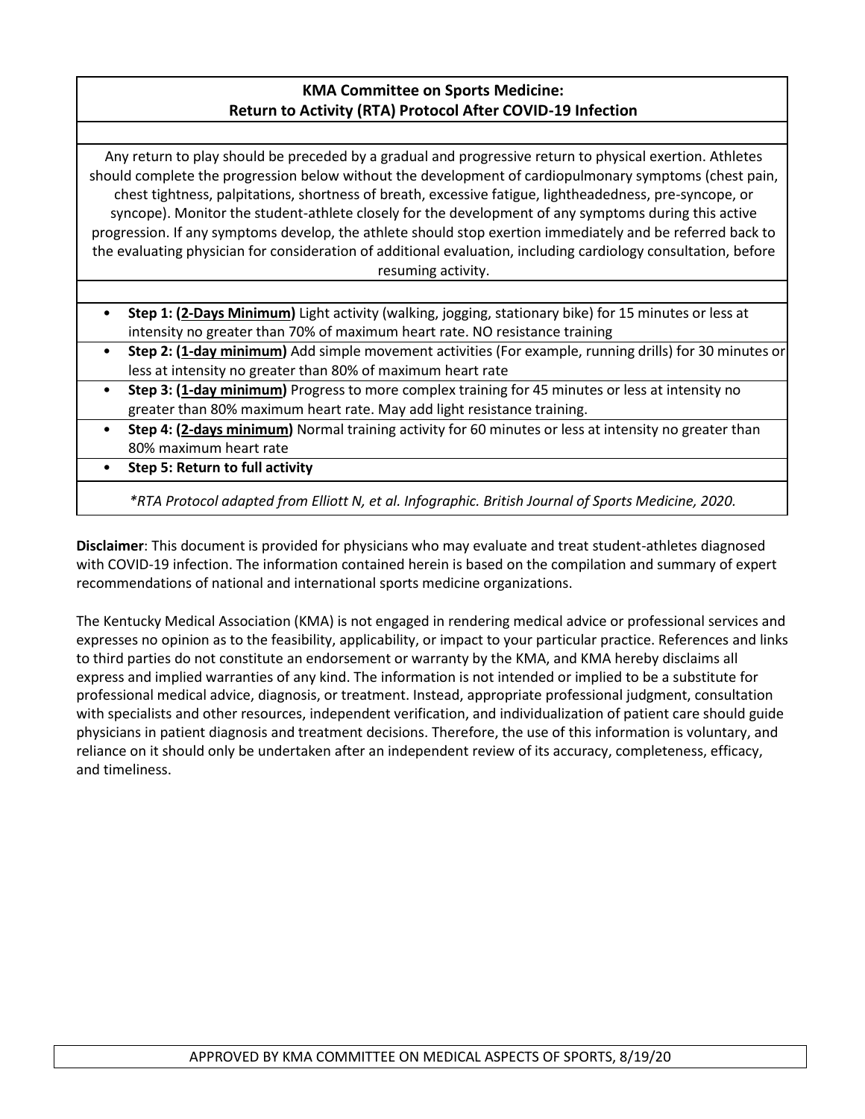# **KMA Committee on Sports Medicine: Return to Activity (RTA) Protocol After COVID-19 Infection**

Any return to play should be preceded by a gradual and progressive return to physical exertion. Athletes should complete the progression below without the development of cardiopulmonary symptoms (chest pain, chest tightness, palpitations, shortness of breath, excessive fatigue, lightheadedness, pre-syncope, or syncope). Monitor the student-athlete closely for the development of any symptoms during this active progression. If any symptoms develop, the athlete should stop exertion immediately and be referred back to the evaluating physician for consideration of additional evaluation, including cardiology consultation, before resuming activity.

- **Step 1: (2-Days Minimum)** Light activity (walking, jogging, stationary bike) for 15 minutes or less at intensity no greater than 70% of maximum heart rate. NO resistance training
- **Step 2: (1-day minimum)** Add simple movement activities (For example, running drills) for 30 minutes or less at intensity no greater than 80% of maximum heart rate
- **Step 3: (1-day minimum)** Progress to more complex training for 45 minutes or less at intensity no greater than 80% maximum heart rate. May add light resistance training.
- **Step 4: (2-days minimum)** Normal training activity for 60 minutes or less at intensity no greater than 80% maximum heart rate
- **Step 5: Return to full activity**

*\*RTA Protocol adapted from Elliott N, et al. Infographic. British Journal of Sports Medicine, 2020.*

**Disclaimer**: This document is provided for physicians who may evaluate and treat student-athletes diagnosed with COVID-19 infection. The information contained herein is based on the compilation and summary of expert recommendations of national and international sports medicine organizations.

The Kentucky Medical Association (KMA) is not engaged in rendering medical advice or professional services and expresses no opinion as to the feasibility, applicability, or impact to your particular practice. References and links to third parties do not constitute an endorsement or warranty by the KMA, and KMA hereby disclaims all express and implied warranties of any kind. The information is not intended or implied to be a substitute for professional medical advice, diagnosis, or treatment. Instead, appropriate professional judgment, consultation with specialists and other resources, independent verification, and individualization of patient care should guide physicians in patient diagnosis and treatment decisions. Therefore, the use of this information is voluntary, and reliance on it should only be undertaken after an independent review of its accuracy, completeness, efficacy, and timeliness.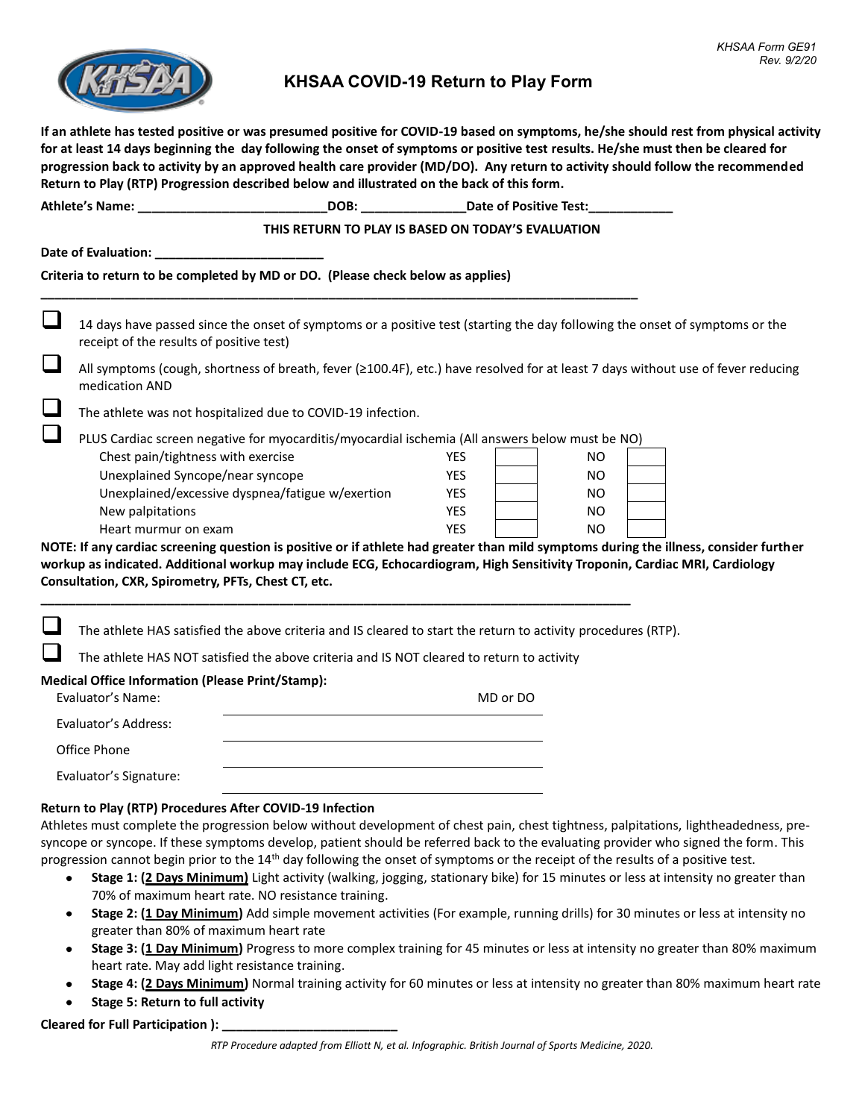

# **KHSAA COVID-19 Return to Play Form**

**If an athlete has tested positive or was presumed positive for COVID-19 based on symptoms, he/she should rest from physical activity for at least 14 days beginning the day following the onset of symptoms or positive test results. He/she must then be cleared for progression back to activity by an approved health care provider (MD/DO). Any return to activity should follow the recommended Return to Play (RTP) Progression described below and illustrated on the back of this form.**

| <b>Athlete's Name:</b>                                                          | DOB: | Date of Positive Test: |  |  |  |
|---------------------------------------------------------------------------------|------|------------------------|--|--|--|
| THIS RETURN TO PLAY IS BASED ON TODAY'S EVALUATION                              |      |                        |  |  |  |
| Date of Evaluation:                                                             |      |                        |  |  |  |
| Criteria to return to be completed by MD or DO. (Please check below as applies) |      |                        |  |  |  |

14 days have passed since the onset of symptoms or a positive test (starting the day following the onset of symptoms or the receipt of the results of positive test)

❑ All symptoms (cough, shortness of breath, fever (≥100.4F), etc.) have resolved for at least 7 days without use of fever reducing medication AND

The athlete was not hospitalized due to COVID-19 infection.

❑ PLUS Cardiac screen negative for myocarditis/myocardial ischemia (All answers below must be NO)

**\_\_\_\_\_\_\_\_\_\_\_\_\_\_\_\_\_\_\_\_\_\_\_\_\_\_\_\_\_\_\_\_\_\_\_\_\_\_\_\_\_\_\_\_\_\_\_\_\_\_\_\_\_\_\_\_\_\_\_\_\_\_\_\_\_\_\_\_\_\_\_\_\_\_\_\_\_\_\_\_\_\_\_\_\_**

| Chest pain/tightness with exercise               | YES        | NO. |  |
|--------------------------------------------------|------------|-----|--|
| Unexplained Syncope/near syncope                 | YES        | NO. |  |
| Unexplained/excessive dyspnea/fatigue w/exertion | YES        | NO. |  |
| New palpitations                                 | <b>YFS</b> | NO. |  |
| Heart murmur on exam                             | YES        | NO. |  |

**NOTE: If any cardiac screening question is positive or if athlete had greater than mild symptoms during the illness, consider further workup as indicated. Additional workup may include ECG, Echocardiogram, High Sensitivity Troponin, Cardiac MRI, Cardiology Consultation, CXR, Spirometry, PFTs, Chest CT, etc.**

The athlete HAS satisfied the above criteria and IS cleared to start the return to activity procedures (RTP).

The athlete HAS NOT satisfied the above criteria and IS NOT cleared to return to activity

**\_\_\_\_\_\_\_\_\_\_\_\_\_\_\_\_\_\_\_\_\_\_\_\_\_\_\_\_\_\_\_\_\_\_\_\_\_\_\_\_\_\_\_\_\_\_\_\_\_\_\_\_\_\_\_\_\_\_\_\_\_\_\_\_\_\_\_\_\_\_\_\_\_\_\_\_\_\_\_\_\_\_\_\_**

### **Medical Office Information (Please Print/Stamp):**

| Evaluator's Name:      | MD or DO |
|------------------------|----------|
| Evaluator's Address:   |          |
| Office Phone           |          |
| Evaluator's Signature: |          |

#### **Return to Play (RTP) Procedures After COVID-19 Infection**

Athletes must complete the progression below without development of chest pain, chest tightness, palpitations, lightheadedness, presyncope or syncope. If these symptoms develop, patient should be referred back to the evaluating provider who signed the form. This progression cannot begin prior to the 14<sup>th</sup> day following the onset of symptoms or the receipt of the results of a positive test.

- **Stage 1: (2 Days Minimum)** Light activity (walking, jogging, stationary bike) for 15 minutes or less at intensity no greater than 70% of maximum heart rate. NO resistance training.
- **Stage 2: (1 Day Minimum)** Add simple movement activities (For example, running drills) for 30 minutes or less at intensity no greater than 80% of maximum heart rate
- **Stage 3: (1 Day Minimum)** Progress to more complex training for 45 minutes or less at intensity no greater than 80% maximum heart rate. May add light resistance training.
- **Stage 4: (2 Days Minimum)** Normal training activity for 60 minutes or less at intensity no greater than 80% maximum heart rate
- **Stage 5: Return to full activity**

**Cleared for Full Participation ): \_\_\_\_\_\_\_\_\_\_\_\_\_\_\_\_\_\_\_\_\_\_\_\_\_**